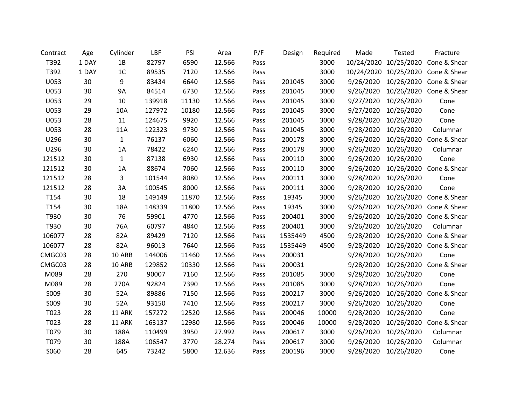| Contract | Age   | Cylinder       | LBF    | PSI   | Area   | P/F  | Design  | Required | Made       | Tested                | Fracture                |
|----------|-------|----------------|--------|-------|--------|------|---------|----------|------------|-----------------------|-------------------------|
| T392     | 1 DAY | 1B             | 82797  | 6590  | 12.566 | Pass |         | 3000     | 10/24/2020 | 10/25/2020            | Cone & Shear            |
| T392     | 1 DAY | 1 <sub>C</sub> | 89535  | 7120  | 12.566 | Pass |         | 3000     |            | 10/24/2020 10/25/2020 | Cone & Shear            |
| U053     | 30    | 9              | 83434  | 6640  | 12.566 | Pass | 201045  | 3000     | 9/26/2020  | 10/26/2020            | Cone & Shear            |
| U053     | 30    | <b>9A</b>      | 84514  | 6730  | 12.566 | Pass | 201045  | 3000     | 9/26/2020  | 10/26/2020            | Cone & Shear            |
| U053     | 29    | 10             | 139918 | 11130 | 12.566 | Pass | 201045  | 3000     | 9/27/2020  | 10/26/2020            | Cone                    |
| U053     | 29    | 10A            | 127972 | 10180 | 12.566 | Pass | 201045  | 3000     | 9/27/2020  | 10/26/2020            | Cone                    |
| U053     | 28    | 11             | 124675 | 9920  | 12.566 | Pass | 201045  | 3000     | 9/28/2020  | 10/26/2020            | Cone                    |
| U053     | 28    | 11A            | 122323 | 9730  | 12.566 | Pass | 201045  | 3000     | 9/28/2020  | 10/26/2020            | Columnar                |
| U296     | 30    | $\mathbf{1}$   | 76137  | 6060  | 12.566 | Pass | 200178  | 3000     | 9/26/2020  | 10/26/2020            | Cone & Shear            |
| U296     | 30    | 1A             | 78422  | 6240  | 12.566 | Pass | 200178  | 3000     | 9/26/2020  | 10/26/2020            | Columnar                |
| 121512   | 30    | $\mathbf{1}$   | 87138  | 6930  | 12.566 | Pass | 200110  | 3000     | 9/26/2020  | 10/26/2020            | Cone                    |
| 121512   | 30    | 1A             | 88674  | 7060  | 12.566 | Pass | 200110  | 3000     | 9/26/2020  | 10/26/2020            | Cone & Shear            |
| 121512   | 28    | 3              | 101544 | 8080  | 12.566 | Pass | 200111  | 3000     | 9/28/2020  | 10/26/2020            | Cone                    |
| 121512   | 28    | 3A             | 100545 | 8000  | 12.566 | Pass | 200111  | 3000     | 9/28/2020  | 10/26/2020            | Cone                    |
| T154     | 30    | 18             | 149149 | 11870 | 12.566 | Pass | 19345   | 3000     | 9/26/2020  | 10/26/2020            | Cone & Shear            |
| T154     | 30    | 18A            | 148339 | 11800 | 12.566 | Pass | 19345   | 3000     | 9/26/2020  | 10/26/2020            | Cone & Shear            |
| T930     | 30    | 76             | 59901  | 4770  | 12.566 | Pass | 200401  | 3000     | 9/26/2020  |                       | 10/26/2020 Cone & Shear |
| T930     | 30    | 76A            | 60797  | 4840  | 12.566 | Pass | 200401  | 3000     | 9/26/2020  | 10/26/2020            | Columnar                |
| 106077   | 28    | 82A            | 89429  | 7120  | 12.566 | Pass | 1535449 | 4500     | 9/28/2020  | 10/26/2020            | Cone & Shear            |
| 106077   | 28    | 82A            | 96013  | 7640  | 12.566 | Pass | 1535449 | 4500     | 9/28/2020  |                       | 10/26/2020 Cone & Shear |
| CMGC03   | 28    | 10 ARB         | 144006 | 11460 | 12.566 | Pass | 200031  |          | 9/28/2020  | 10/26/2020            | Cone                    |
| CMGC03   | 28    | 10 ARB         | 129852 | 10330 | 12.566 | Pass | 200031  |          | 9/28/2020  | 10/26/2020            | Cone & Shear            |
| M089     | 28    | 270            | 90007  | 7160  | 12.566 | Pass | 201085  | 3000     | 9/28/2020  | 10/26/2020            | Cone                    |
| M089     | 28    | 270A           | 92824  | 7390  | 12.566 | Pass | 201085  | 3000     | 9/28/2020  | 10/26/2020            | Cone                    |
| S009     | 30    | 52A            | 89886  | 7150  | 12.566 | Pass | 200217  | 3000     | 9/26/2020  | 10/26/2020            | Cone & Shear            |
| S009     | 30    | 52A            | 93150  | 7410  | 12.566 | Pass | 200217  | 3000     | 9/26/2020  | 10/26/2020            | Cone                    |
| T023     | 28    | 11 ARK         | 157272 | 12520 | 12.566 | Pass | 200046  | 10000    | 9/28/2020  | 10/26/2020            | Cone                    |
| T023     | 28    | 11 ARK         | 163137 | 12980 | 12.566 | Pass | 200046  | 10000    | 9/28/2020  | 10/26/2020            | Cone & Shear            |
| T079     | 30    | 188A           | 110499 | 3950  | 27.992 | Pass | 200617  | 3000     | 9/26/2020  | 10/26/2020            | Columnar                |
| T079     | 30    | 188A           | 106547 | 3770  | 28.274 | Pass | 200617  | 3000     | 9/26/2020  | 10/26/2020            | Columnar                |
| S060     | 28    | 645            | 73242  | 5800  | 12.636 | Pass | 200196  | 3000     | 9/28/2020  | 10/26/2020            | Cone                    |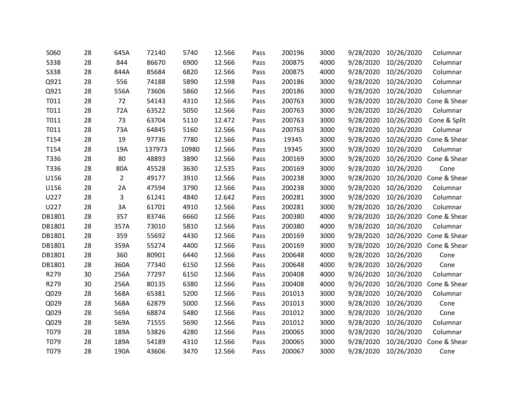| S060        | 28 | 645A           | 72140  | 5740  | 12.566 | Pass | 200196 | 3000 | 9/28/2020 | 10/26/2020 | Columnar                |
|-------------|----|----------------|--------|-------|--------|------|--------|------|-----------|------------|-------------------------|
| <b>S338</b> | 28 | 844            | 86670  | 6900  | 12.566 | Pass | 200875 | 4000 | 9/28/2020 | 10/26/2020 | Columnar                |
| <b>S338</b> | 28 | 844A           | 85684  | 6820  | 12.566 | Pass | 200875 | 4000 | 9/28/2020 | 10/26/2020 | Columnar                |
| Q921        | 28 | 556            | 74188  | 5890  | 12.598 | Pass | 200186 | 3000 | 9/28/2020 | 10/26/2020 | Columnar                |
| Q921        | 28 | 556A           | 73606  | 5860  | 12.566 | Pass | 200186 | 3000 | 9/28/2020 | 10/26/2020 | Columnar                |
| T011        | 28 | 72             | 54143  | 4310  | 12.566 | Pass | 200763 | 3000 | 9/28/2020 | 10/26/2020 | Cone & Shear            |
| T011        | 28 | 72A            | 63522  | 5050  | 12.566 | Pass | 200763 | 3000 | 9/28/2020 | 10/26/2020 | Columnar                |
| T011        | 28 | 73             | 63704  | 5110  | 12.472 | Pass | 200763 | 3000 | 9/28/2020 | 10/26/2020 | Cone & Split            |
| T011        | 28 | 73A            | 64845  | 5160  | 12.566 | Pass | 200763 | 3000 | 9/28/2020 | 10/26/2020 | Columnar                |
| T154        | 28 | 19             | 97736  | 7780  | 12.566 | Pass | 19345  | 3000 | 9/28/2020 | 10/26/2020 | Cone & Shear            |
| T154        | 28 | 19A            | 137973 | 10980 | 12.566 | Pass | 19345  | 3000 | 9/28/2020 | 10/26/2020 | Columnar                |
| T336        | 28 | 80             | 48893  | 3890  | 12.566 | Pass | 200169 | 3000 | 9/28/2020 | 10/26/2020 | Cone & Shear            |
| T336        | 28 | 80A            | 45528  | 3630  | 12.535 | Pass | 200169 | 3000 | 9/28/2020 | 10/26/2020 | Cone                    |
| U156        | 28 | $\overline{2}$ | 49177  | 3910  | 12.566 | Pass | 200238 | 3000 | 9/28/2020 |            | 10/26/2020 Cone & Shear |
| U156        | 28 | 2A             | 47594  | 3790  | 12.566 | Pass | 200238 | 3000 | 9/28/2020 | 10/26/2020 | Columnar                |
| U227        | 28 | 3              | 61241  | 4840  | 12.642 | Pass | 200281 | 3000 | 9/28/2020 | 10/26/2020 | Columnar                |
| U227        | 28 | 3A             | 61701  | 4910  | 12.566 | Pass | 200281 | 3000 | 9/28/2020 | 10/26/2020 | Columnar                |
| DB1801      | 28 | 357            | 83746  | 6660  | 12.566 | Pass | 200380 | 4000 | 9/28/2020 | 10/26/2020 | Cone & Shear            |
| DB1801      | 28 | 357A           | 73010  | 5810  | 12.566 | Pass | 200380 | 4000 | 9/28/2020 | 10/26/2020 | Columnar                |
| DB1801      | 28 | 359            | 55692  | 4430  | 12.566 | Pass | 200169 | 3000 | 9/28/2020 | 10/26/2020 | Cone & Shear            |
| DB1801      | 28 | 359A           | 55274  | 4400  | 12.566 | Pass | 200169 | 3000 | 9/28/2020 |            | 10/26/2020 Cone & Shear |
| DB1801      | 28 | 360            | 80901  | 6440  | 12.566 | Pass | 200648 | 4000 | 9/28/2020 | 10/26/2020 | Cone                    |
| DB1801      | 28 | 360A           | 77340  | 6150  | 12.566 | Pass | 200648 | 4000 | 9/28/2020 | 10/26/2020 | Cone                    |
| R279        | 30 | 256A           | 77297  | 6150  | 12.566 | Pass | 200408 | 4000 | 9/26/2020 | 10/26/2020 | Columnar                |
| R279        | 30 | 256A           | 80135  | 6380  | 12.566 | Pass | 200408 | 4000 | 9/26/2020 | 10/26/2020 | Cone & Shear            |
| Q029        | 28 | 568A           | 65381  | 5200  | 12.566 | Pass | 201013 | 3000 | 9/28/2020 | 10/26/2020 | Columnar                |
| Q029        | 28 | 568A           | 62879  | 5000  | 12.566 | Pass | 201013 | 3000 | 9/28/2020 | 10/26/2020 | Cone                    |
| Q029        | 28 | 569A           | 68874  | 5480  | 12.566 | Pass | 201012 | 3000 | 9/28/2020 | 10/26/2020 | Cone                    |
| Q029        | 28 | 569A           | 71555  | 5690  | 12.566 | Pass | 201012 | 3000 | 9/28/2020 | 10/26/2020 | Columnar                |
| T079        | 28 | 189A           | 53826  | 4280  | 12.566 | Pass | 200065 | 3000 | 9/28/2020 | 10/26/2020 | Columnar                |
| T079        | 28 | 189A           | 54189  | 4310  | 12.566 | Pass | 200065 | 3000 | 9/28/2020 | 10/26/2020 | Cone & Shear            |
| T079        | 28 | 190A           | 43606  | 3470  | 12.566 | Pass | 200067 | 3000 | 9/28/2020 | 10/26/2020 | Cone                    |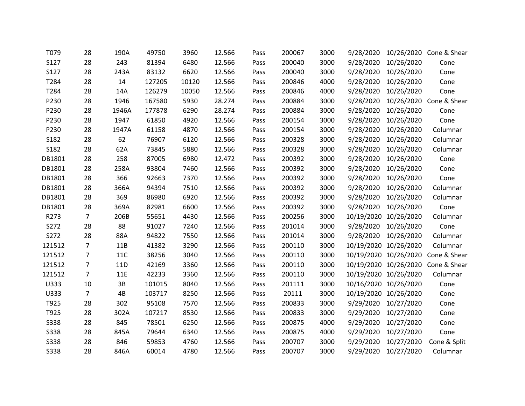| T079        | 28             | 190A       | 49750  | 3960  | 12.566 | Pass | 200067 | 3000 | 9/28/2020 |                       | 10/26/2020 Cone & Shear            |
|-------------|----------------|------------|--------|-------|--------|------|--------|------|-----------|-----------------------|------------------------------------|
| S127        | 28             | 243        | 81394  | 6480  | 12.566 | Pass | 200040 | 3000 | 9/28/2020 | 10/26/2020            | Cone                               |
| S127        | 28             | 243A       | 83132  | 6620  | 12.566 | Pass | 200040 | 3000 |           | 9/28/2020 10/26/2020  | Cone                               |
| T284        | 28             | 14         | 127205 | 10120 | 12.566 | Pass | 200846 | 4000 | 9/28/2020 | 10/26/2020            | Cone                               |
| T284        | 28             | 14A        | 126279 | 10050 | 12.566 | Pass | 200846 | 4000 | 9/28/2020 | 10/26/2020            | Cone                               |
| P230        | 28             | 1946       | 167580 | 5930  | 28.274 | Pass | 200884 | 3000 |           |                       | 9/28/2020 10/26/2020 Cone & Shear  |
| P230        | 28             | 1946A      | 177878 | 6290  | 28.274 | Pass | 200884 | 3000 | 9/28/2020 | 10/26/2020            | Cone                               |
| P230        | 28             | 1947       | 61850  | 4920  | 12.566 | Pass | 200154 | 3000 | 9/28/2020 | 10/26/2020            | Cone                               |
| P230        | 28             | 1947A      | 61158  | 4870  | 12.566 | Pass | 200154 | 3000 |           | 9/28/2020 10/26/2020  | Columnar                           |
| S182        | 28             | 62         | 76907  | 6120  | 12.566 | Pass | 200328 | 3000 | 9/28/2020 | 10/26/2020            | Columnar                           |
| S182        | 28             | 62A        | 73845  | 5880  | 12.566 | Pass | 200328 | 3000 | 9/28/2020 | 10/26/2020            | Columnar                           |
| DB1801      | 28             | 258        | 87005  | 6980  | 12.472 | Pass | 200392 | 3000 |           | 9/28/2020 10/26/2020  | Cone                               |
| DB1801      | 28             | 258A       | 93804  | 7460  | 12.566 | Pass | 200392 | 3000 | 9/28/2020 | 10/26/2020            | Cone                               |
| DB1801      | 28             | 366        | 92663  | 7370  | 12.566 | Pass | 200392 | 3000 |           | 9/28/2020 10/26/2020  | Cone                               |
| DB1801      | 28             | 366A       | 94394  | 7510  | 12.566 | Pass | 200392 | 3000 |           | 9/28/2020 10/26/2020  | Columnar                           |
| DB1801      | 28             | 369        | 86980  | 6920  | 12.566 | Pass | 200392 | 3000 | 9/28/2020 | 10/26/2020            | Columnar                           |
| DB1801      | 28             | 369A       | 82981  | 6600  | 12.566 | Pass | 200392 | 3000 | 9/28/2020 | 10/26/2020            | Cone                               |
| R273        | $\overline{7}$ | 206B       | 55651  | 4430  | 12.566 | Pass | 200256 | 3000 |           | 10/19/2020 10/26/2020 | Columnar                           |
| S272        | 28             | 88         | 91027  | 7240  | 12.566 | Pass | 201014 | 3000 |           | 9/28/2020 10/26/2020  | Cone                               |
| S272        | 28             | 88A        | 94822  | 7550  | 12.566 | Pass | 201014 | 3000 |           | 9/28/2020 10/26/2020  | Columnar                           |
| 121512      | $\overline{7}$ | 11B        | 41382  | 3290  | 12.566 | Pass | 200110 | 3000 |           | 10/19/2020 10/26/2020 | Columnar                           |
| 121512      | $\overline{7}$ | <b>11C</b> | 38256  | 3040  | 12.566 | Pass | 200110 | 3000 |           | 10/19/2020 10/26/2020 | Cone & Shear                       |
| 121512      | $\overline{7}$ | 11D        | 42169  | 3360  | 12.566 | Pass | 200110 | 3000 |           |                       | 10/19/2020 10/26/2020 Cone & Shear |
| 121512      | $\overline{7}$ | 11E        | 42233  | 3360  | 12.566 | Pass | 200110 | 3000 |           | 10/19/2020 10/26/2020 | Columnar                           |
| U333        | 10             | 3B         | 101015 | 8040  | 12.566 | Pass | 201111 | 3000 |           | 10/16/2020 10/26/2020 | Cone                               |
| U333        | $\overline{7}$ | 4B         | 103717 | 8250  | 12.566 | Pass | 20111  | 3000 |           | 10/19/2020 10/26/2020 | Cone                               |
| T925        | 28             | 302        | 95108  | 7570  | 12.566 | Pass | 200833 | 3000 |           | 9/29/2020 10/27/2020  | Cone                               |
| T925        | 28             | 302A       | 107217 | 8530  | 12.566 | Pass | 200833 | 3000 | 9/29/2020 | 10/27/2020            | Cone                               |
| <b>S338</b> | 28             | 845        | 78501  | 6250  | 12.566 | Pass | 200875 | 4000 |           | 9/29/2020 10/27/2020  | Cone                               |
| <b>S338</b> | 28             | 845A       | 79644  | 6340  | 12.566 | Pass | 200875 | 4000 | 9/29/2020 | 10/27/2020            | Cone                               |
| <b>S338</b> | 28             | 846        | 59853  | 4760  | 12.566 | Pass | 200707 | 3000 | 9/29/2020 | 10/27/2020            | Cone & Split                       |
| <b>S338</b> | 28             | 846A       | 60014  | 4780  | 12.566 | Pass | 200707 | 3000 |           | 9/29/2020 10/27/2020  | Columnar                           |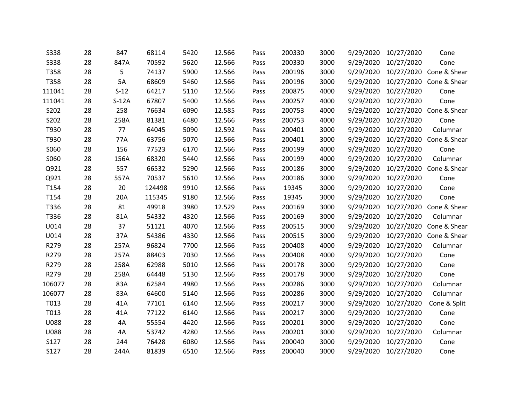| <b>S338</b> | 28 | 847     | 68114  | 5420 | 12.566 | Pass | 200330 | 3000 | 9/29/2020 | 10/27/2020           | Cone                              |
|-------------|----|---------|--------|------|--------|------|--------|------|-----------|----------------------|-----------------------------------|
| <b>S338</b> | 28 | 847A    | 70592  | 5620 | 12.566 | Pass | 200330 | 3000 | 9/29/2020 | 10/27/2020           | Cone                              |
| T358        | 28 | 5       | 74137  | 5900 | 12.566 | Pass | 200196 | 3000 |           |                      | 9/29/2020 10/27/2020 Cone & Shear |
| T358        | 28 | 5A      | 68609  | 5460 | 12.566 | Pass | 200196 | 3000 | 9/29/2020 | 10/27/2020           | Cone & Shear                      |
| 111041      | 28 | $S-12$  | 64217  | 5110 | 12.566 | Pass | 200875 | 4000 | 9/29/2020 | 10/27/2020           | Cone                              |
| 111041      | 28 | $S-12A$ | 67807  | 5400 | 12.566 | Pass | 200257 | 4000 | 9/29/2020 | 10/27/2020           | Cone                              |
| S202        | 28 | 258     | 76634  | 6090 | 12.585 | Pass | 200753 | 4000 | 9/29/2020 | 10/27/2020           | Cone & Shear                      |
| S202        | 28 | 258A    | 81381  | 6480 | 12.566 | Pass | 200753 | 4000 | 9/29/2020 | 10/27/2020           | Cone                              |
| T930        | 28 | 77      | 64045  | 5090 | 12.592 | Pass | 200401 | 3000 |           | 9/29/2020 10/27/2020 | Columnar                          |
| T930        | 28 | 77A     | 63756  | 5070 | 12.566 | Pass | 200401 | 3000 | 9/29/2020 | 10/27/2020           | Cone & Shear                      |
| S060        | 28 | 156     | 77523  | 6170 | 12.566 | Pass | 200199 | 4000 | 9/29/2020 | 10/27/2020           | Cone                              |
| S060        | 28 | 156A    | 68320  | 5440 | 12.566 | Pass | 200199 | 4000 | 9/29/2020 | 10/27/2020           | Columnar                          |
| Q921        | 28 | 557     | 66532  | 5290 | 12.566 | Pass | 200186 | 3000 | 9/29/2020 | 10/27/2020           | Cone & Shear                      |
| Q921        | 28 | 557A    | 70537  | 5610 | 12.566 | Pass | 200186 | 3000 |           | 9/29/2020 10/27/2020 | Cone                              |
| T154        | 28 | 20      | 124498 | 9910 | 12.566 | Pass | 19345  | 3000 | 9/29/2020 | 10/27/2020           | Cone                              |
| T154        | 28 | 20A     | 115345 | 9180 | 12.566 | Pass | 19345  | 3000 | 9/29/2020 | 10/27/2020           | Cone                              |
| T336        | 28 | 81      | 49918  | 3980 | 12.529 | Pass | 200169 | 3000 | 9/29/2020 | 10/27/2020           | Cone & Shear                      |
| T336        | 28 | 81A     | 54332  | 4320 | 12.566 | Pass | 200169 | 3000 | 9/29/2020 | 10/27/2020           | Columnar                          |
| U014        | 28 | 37      | 51121  | 4070 | 12.566 | Pass | 200515 | 3000 | 9/29/2020 |                      | 10/27/2020 Cone & Shear           |
| U014        | 28 | 37A     | 54386  | 4330 | 12.566 | Pass | 200515 | 3000 |           |                      | 9/29/2020 10/27/2020 Cone & Shear |
| R279        | 28 | 257A    | 96824  | 7700 | 12.566 | Pass | 200408 | 4000 | 9/29/2020 | 10/27/2020           | Columnar                          |
| R279        | 28 | 257A    | 88403  | 7030 | 12.566 | Pass | 200408 | 4000 | 9/29/2020 | 10/27/2020           | Cone                              |
| R279        | 28 | 258A    | 62988  | 5010 | 12.566 | Pass | 200178 | 3000 | 9/29/2020 | 10/27/2020           | Cone                              |
| R279        | 28 | 258A    | 64448  | 5130 | 12.566 | Pass | 200178 | 3000 | 9/29/2020 | 10/27/2020           | Cone                              |
| 106077      | 28 | 83A     | 62584  | 4980 | 12.566 | Pass | 200286 | 3000 | 9/29/2020 | 10/27/2020           | Columnar                          |
| 106077      | 28 | 83A     | 64600  | 5140 | 12.566 | Pass | 200286 | 3000 |           | 9/29/2020 10/27/2020 | Columnar                          |
| T013        | 28 | 41A     | 77101  | 6140 | 12.566 | Pass | 200217 | 3000 | 9/29/2020 | 10/27/2020           | Cone & Split                      |
| T013        | 28 | 41A     | 77122  | 6140 | 12.566 | Pass | 200217 | 3000 | 9/29/2020 | 10/27/2020           | Cone                              |
| <b>U088</b> | 28 | 4A      | 55554  | 4420 | 12.566 | Pass | 200201 | 3000 | 9/29/2020 | 10/27/2020           | Cone                              |
| <b>U088</b> | 28 | 4A      | 53742  | 4280 | 12.566 | Pass | 200201 | 3000 | 9/29/2020 | 10/27/2020           | Columnar                          |
| S127        | 28 | 244     | 76428  | 6080 | 12.566 | Pass | 200040 | 3000 | 9/29/2020 | 10/27/2020           | Cone                              |
| S127        | 28 | 244A    | 81839  | 6510 | 12.566 | Pass | 200040 | 3000 |           | 9/29/2020 10/27/2020 | Cone                              |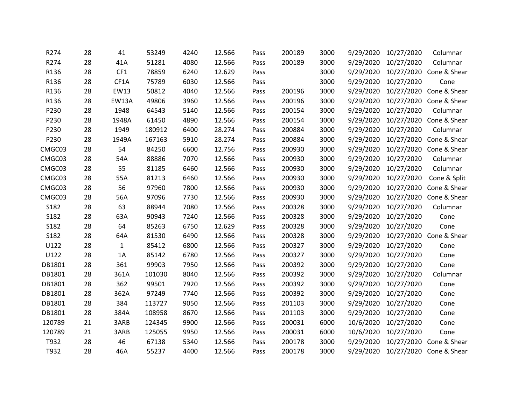| R274   | 28 | 41           | 53249  | 4240 | 12.566 | Pass | 200189 | 3000 | 9/29/2020 | 10/27/2020 | Columnar                          |
|--------|----|--------------|--------|------|--------|------|--------|------|-----------|------------|-----------------------------------|
| R274   | 28 | 41A          | 51281  | 4080 | 12.566 | Pass | 200189 | 3000 | 9/29/2020 | 10/27/2020 | Columnar                          |
| R136   | 28 | CF1          | 78859  | 6240 | 12.629 | Pass |        | 3000 | 9/29/2020 |            | 10/27/2020 Cone & Shear           |
| R136   | 28 | CF1A         | 75789  | 6030 | 12.566 | Pass |        | 3000 | 9/29/2020 | 10/27/2020 | Cone                              |
| R136   | 28 | EW13         | 50812  | 4040 | 12.566 | Pass | 200196 | 3000 | 9/29/2020 | 10/27/2020 | Cone & Shear                      |
| R136   | 28 | <b>EW13A</b> | 49806  | 3960 | 12.566 | Pass | 200196 | 3000 | 9/29/2020 |            | 10/27/2020 Cone & Shear           |
| P230   | 28 | 1948         | 64543  | 5140 | 12.566 | Pass | 200154 | 3000 | 9/29/2020 | 10/27/2020 | Columnar                          |
| P230   | 28 | 1948A        | 61450  | 4890 | 12.566 | Pass | 200154 | 3000 | 9/29/2020 | 10/27/2020 | Cone & Shear                      |
| P230   | 28 | 1949         | 180912 | 6400 | 28.274 | Pass | 200884 | 3000 | 9/29/2020 | 10/27/2020 | Columnar                          |
| P230   | 28 | 1949A        | 167163 | 5910 | 28.274 | Pass | 200884 | 3000 | 9/29/2020 | 10/27/2020 | Cone & Shear                      |
| CMGC03 | 28 | 54           | 84250  | 6600 | 12.756 | Pass | 200930 | 3000 | 9/29/2020 | 10/27/2020 | Cone & Shear                      |
| CMGC03 | 28 | 54A          | 88886  | 7070 | 12.566 | Pass | 200930 | 3000 | 9/29/2020 | 10/27/2020 | Columnar                          |
| CMGC03 | 28 | 55           | 81185  | 6460 | 12.566 | Pass | 200930 | 3000 | 9/29/2020 | 10/27/2020 | Columnar                          |
| CMGC03 | 28 | 55A          | 81213  | 6460 | 12.566 | Pass | 200930 | 3000 | 9/29/2020 | 10/27/2020 | Cone & Split                      |
| CMGC03 | 28 | 56           | 97960  | 7800 | 12.566 | Pass | 200930 | 3000 | 9/29/2020 | 10/27/2020 | Cone & Shear                      |
| CMGC03 | 28 | 56A          | 97096  | 7730 | 12.566 | Pass | 200930 | 3000 | 9/29/2020 | 10/27/2020 | Cone & Shear                      |
| S182   | 28 | 63           | 88944  | 7080 | 12.566 | Pass | 200328 | 3000 | 9/29/2020 | 10/27/2020 | Columnar                          |
| S182   | 28 | 63A          | 90943  | 7240 | 12.566 | Pass | 200328 | 3000 | 9/29/2020 | 10/27/2020 | Cone                              |
| S182   | 28 | 64           | 85263  | 6750 | 12.629 | Pass | 200328 | 3000 | 9/29/2020 | 10/27/2020 | Cone                              |
| S182   | 28 | 64A          | 81530  | 6490 | 12.566 | Pass | 200328 | 3000 | 9/29/2020 |            | 10/27/2020 Cone & Shear           |
| U122   | 28 | $\mathbf{1}$ | 85412  | 6800 | 12.566 | Pass | 200327 | 3000 | 9/29/2020 | 10/27/2020 | Cone                              |
| U122   | 28 | 1A           | 85142  | 6780 | 12.566 | Pass | 200327 | 3000 | 9/29/2020 | 10/27/2020 | Cone                              |
| DB1801 | 28 | 361          | 99903  | 7950 | 12.566 | Pass | 200392 | 3000 | 9/29/2020 | 10/27/2020 | Cone                              |
| DB1801 | 28 | 361A         | 101030 | 8040 | 12.566 | Pass | 200392 | 3000 | 9/29/2020 | 10/27/2020 | Columnar                          |
| DB1801 | 28 | 362          | 99501  | 7920 | 12.566 | Pass | 200392 | 3000 | 9/29/2020 | 10/27/2020 | Cone                              |
| DB1801 | 28 | 362A         | 97249  | 7740 | 12.566 | Pass | 200392 | 3000 | 9/29/2020 | 10/27/2020 | Cone                              |
| DB1801 | 28 | 384          | 113727 | 9050 | 12.566 | Pass | 201103 | 3000 | 9/29/2020 | 10/27/2020 | Cone                              |
| DB1801 | 28 | 384A         | 108958 | 8670 | 12.566 | Pass | 201103 | 3000 | 9/29/2020 | 10/27/2020 | Cone                              |
| 120789 | 21 | 3ARB         | 124345 | 9900 | 12.566 | Pass | 200031 | 6000 | 10/6/2020 | 10/27/2020 | Cone                              |
| 120789 | 21 | 3ARB         | 125055 | 9950 | 12.566 | Pass | 200031 | 6000 | 10/6/2020 | 10/27/2020 | Cone                              |
| T932   | 28 | 46           | 67138  | 5340 | 12.566 | Pass | 200178 | 3000 | 9/29/2020 | 10/27/2020 | Cone & Shear                      |
| T932   | 28 | 46A          | 55237  | 4400 | 12.566 | Pass | 200178 | 3000 |           |            | 9/29/2020 10/27/2020 Cone & Shear |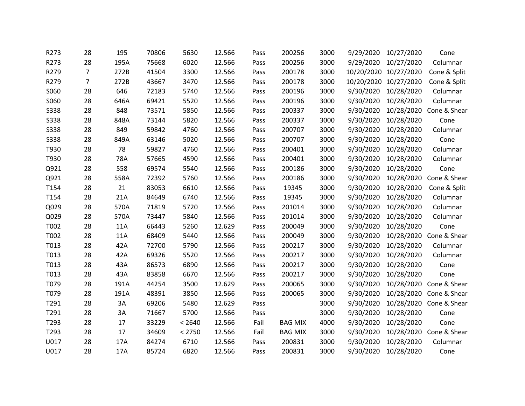| R273        | 28             | 195  | 70806 | 5630   | 12.566 | Pass | 200256         | 3000 | 9/29/2020 | 10/27/2020            | Cone                    |
|-------------|----------------|------|-------|--------|--------|------|----------------|------|-----------|-----------------------|-------------------------|
| R273        | 28             | 195A | 75668 | 6020   | 12.566 | Pass | 200256         | 3000 | 9/29/2020 | 10/27/2020            | Columnar                |
| R279        | $\overline{7}$ | 272B | 41504 | 3300   | 12.566 | Pass | 200178         | 3000 |           | 10/20/2020 10/27/2020 | Cone & Split            |
| R279        | $\overline{7}$ | 272B | 43667 | 3470   | 12.566 | Pass | 200178         | 3000 |           | 10/20/2020 10/27/2020 | Cone & Split            |
| S060        | 28             | 646  | 72183 | 5740   | 12.566 | Pass | 200196         | 3000 | 9/30/2020 | 10/28/2020            | Columnar                |
| S060        | 28             | 646A | 69421 | 5520   | 12.566 | Pass | 200196         | 3000 | 9/30/2020 | 10/28/2020            | Columnar                |
| <b>S338</b> | 28             | 848  | 73571 | 5850   | 12.566 | Pass | 200337         | 3000 | 9/30/2020 | 10/28/2020            | Cone & Shear            |
| <b>S338</b> | 28             | 848A | 73144 | 5820   | 12.566 | Pass | 200337         | 3000 | 9/30/2020 | 10/28/2020            | Cone                    |
| <b>S338</b> | 28             | 849  | 59842 | 4760   | 12.566 | Pass | 200707         | 3000 | 9/30/2020 | 10/28/2020            | Columnar                |
| <b>S338</b> | 28             | 849A | 63146 | 5020   | 12.566 | Pass | 200707         | 3000 | 9/30/2020 | 10/28/2020            | Cone                    |
| T930        | 28             | 78   | 59827 | 4760   | 12.566 | Pass | 200401         | 3000 | 9/30/2020 | 10/28/2020            | Columnar                |
| T930        | 28             | 78A  | 57665 | 4590   | 12.566 | Pass | 200401         | 3000 | 9/30/2020 | 10/28/2020            | Columnar                |
| Q921        | 28             | 558  | 69574 | 5540   | 12.566 | Pass | 200186         | 3000 | 9/30/2020 | 10/28/2020            | Cone                    |
| Q921        | 28             | 558A | 72392 | 5760   | 12.566 | Pass | 200186         | 3000 | 9/30/2020 | 10/28/2020            | Cone & Shear            |
| T154        | 28             | 21   | 83053 | 6610   | 12.566 | Pass | 19345          | 3000 | 9/30/2020 | 10/28/2020            | Cone & Split            |
| T154        | 28             | 21A  | 84649 | 6740   | 12.566 | Pass | 19345          | 3000 | 9/30/2020 | 10/28/2020            | Columnar                |
| Q029        | 28             | 570A | 71819 | 5720   | 12.566 | Pass | 201014         | 3000 | 9/30/2020 | 10/28/2020            | Columnar                |
| Q029        | 28             | 570A | 73447 | 5840   | 12.566 | Pass | 201014         | 3000 | 9/30/2020 | 10/28/2020            | Columnar                |
| T002        | 28             | 11A  | 66443 | 5260   | 12.629 | Pass | 200049         | 3000 | 9/30/2020 | 10/28/2020            | Cone                    |
| T002        | 28             | 11A  | 68409 | 5440   | 12.566 | Pass | 200049         | 3000 | 9/30/2020 | 10/28/2020            | Cone & Shear            |
| T013        | 28             | 42A  | 72700 | 5790   | 12.566 | Pass | 200217         | 3000 | 9/30/2020 | 10/28/2020            | Columnar                |
| T013        | 28             | 42A  | 69326 | 5520   | 12.566 | Pass | 200217         | 3000 | 9/30/2020 | 10/28/2020            | Columnar                |
| T013        | 28             | 43A  | 86573 | 6890   | 12.566 | Pass | 200217         | 3000 | 9/30/2020 | 10/28/2020            | Cone                    |
| T013        | 28             | 43A  | 83858 | 6670   | 12.566 | Pass | 200217         | 3000 | 9/30/2020 | 10/28/2020            | Cone                    |
| T079        | 28             | 191A | 44254 | 3500   | 12.629 | Pass | 200065         | 3000 | 9/30/2020 |                       | 10/28/2020 Cone & Shear |
| T079        | 28             | 191A | 48391 | 3850   | 12.566 | Pass | 200065         | 3000 | 9/30/2020 |                       | 10/28/2020 Cone & Shear |
| T291        | 28             | 3A   | 69206 | 5480   | 12.629 | Pass |                | 3000 | 9/30/2020 |                       | 10/28/2020 Cone & Shear |
| T291        | 28             | 3A   | 71667 | 5700   | 12.566 | Pass |                | 3000 | 9/30/2020 | 10/28/2020            | Cone                    |
| T293        | 28             | 17   | 33229 | < 2640 | 12.566 | Fail | <b>BAG MIX</b> | 4000 | 9/30/2020 | 10/28/2020            | Cone                    |
| T293        | 28             | 17   | 34609 | < 2750 | 12.566 | Fail | <b>BAG MIX</b> | 3000 | 9/30/2020 | 10/28/2020            | Cone & Shear            |
| U017        | 28             | 17A  | 84274 | 6710   | 12.566 | Pass | 200831         | 3000 | 9/30/2020 | 10/28/2020            | Columnar                |
| U017        | 28             | 17A  | 85724 | 6820   | 12.566 | Pass | 200831         | 3000 | 9/30/2020 | 10/28/2020            | Cone                    |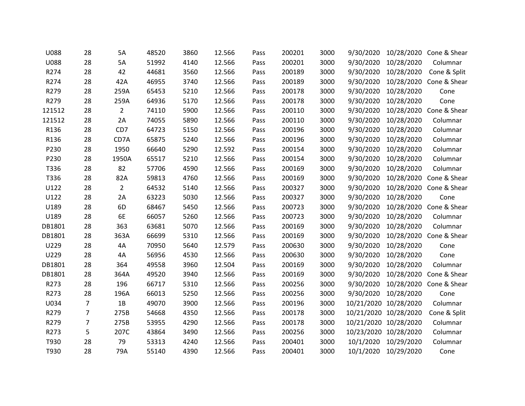| <b>U088</b> | 28             | 5A             | 48520 | 3860 | 12.566 | Pass | 200201 | 3000 | 9/30/2020 | 10/28/2020            | Cone & Shear            |
|-------------|----------------|----------------|-------|------|--------|------|--------|------|-----------|-----------------------|-------------------------|
| <b>U088</b> | 28             | 5A             | 51992 | 4140 | 12.566 | Pass | 200201 | 3000 | 9/30/2020 | 10/28/2020            | Columnar                |
| R274        | 28             | 42             | 44681 | 3560 | 12.566 | Pass | 200189 | 3000 | 9/30/2020 | 10/28/2020            | Cone & Split            |
| R274        | 28             | 42A            | 46955 | 3740 | 12.566 | Pass | 200189 | 3000 | 9/30/2020 | 10/28/2020            | Cone & Shear            |
| R279        | 28             | 259A           | 65453 | 5210 | 12.566 | Pass | 200178 | 3000 | 9/30/2020 | 10/28/2020            | Cone                    |
| R279        | 28             | 259A           | 64936 | 5170 | 12.566 | Pass | 200178 | 3000 | 9/30/2020 | 10/28/2020            | Cone                    |
| 121512      | 28             | $\overline{2}$ | 74110 | 5900 | 12.566 | Pass | 200110 | 3000 | 9/30/2020 | 10/28/2020            | Cone & Shear            |
| 121512      | 28             | 2A             | 74055 | 5890 | 12.566 | Pass | 200110 | 3000 | 9/30/2020 | 10/28/2020            | Columnar                |
| R136        | 28             | CD7            | 64723 | 5150 | 12.566 | Pass | 200196 | 3000 | 9/30/2020 | 10/28/2020            | Columnar                |
| R136        | 28             | CD7A           | 65875 | 5240 | 12.566 | Pass | 200196 | 3000 | 9/30/2020 | 10/28/2020            | Columnar                |
| P230        | 28             | 1950           | 66640 | 5290 | 12.592 | Pass | 200154 | 3000 | 9/30/2020 | 10/28/2020            | Columnar                |
| P230        | 28             | 1950A          | 65517 | 5210 | 12.566 | Pass | 200154 | 3000 | 9/30/2020 | 10/28/2020            | Columnar                |
| T336        | 28             | 82             | 57706 | 4590 | 12.566 | Pass | 200169 | 3000 | 9/30/2020 | 10/28/2020            | Columnar                |
| T336        | 28             | 82A            | 59813 | 4760 | 12.566 | Pass | 200169 | 3000 | 9/30/2020 |                       | 10/28/2020 Cone & Shear |
| U122        | 28             | $\overline{2}$ | 64532 | 5140 | 12.566 | Pass | 200327 | 3000 | 9/30/2020 |                       | 10/28/2020 Cone & Shear |
| U122        | 28             | 2A             | 63223 | 5030 | 12.566 | Pass | 200327 | 3000 | 9/30/2020 | 10/28/2020            | Cone                    |
| U189        | 28             | 6 <sub>D</sub> | 68467 | 5450 | 12.566 | Pass | 200723 | 3000 | 9/30/2020 | 10/28/2020            | Cone & Shear            |
| U189        | 28             | 6E             | 66057 | 5260 | 12.566 | Pass | 200723 | 3000 | 9/30/2020 | 10/28/2020            | Columnar                |
| DB1801      | 28             | 363            | 63681 | 5070 | 12.566 | Pass | 200169 | 3000 | 9/30/2020 | 10/28/2020            | Columnar                |
| DB1801      | 28             | 363A           | 66699 | 5310 | 12.566 | Pass | 200169 | 3000 | 9/30/2020 |                       | 10/28/2020 Cone & Shear |
| U229        | 28             | 4A             | 70950 | 5640 | 12.579 | Pass | 200630 | 3000 | 9/30/2020 | 10/28/2020            | Cone                    |
| U229        | 28             | 4A             | 56956 | 4530 | 12.566 | Pass | 200630 | 3000 | 9/30/2020 | 10/28/2020            | Cone                    |
| DB1801      | 28             | 364            | 49558 | 3960 | 12.504 | Pass | 200169 | 3000 | 9/30/2020 | 10/28/2020            | Columnar                |
| DB1801      | 28             | 364A           | 49520 | 3940 | 12.566 | Pass | 200169 | 3000 | 9/30/2020 | 10/28/2020            | Cone & Shear            |
| R273        | 28             | 196            | 66717 | 5310 | 12.566 | Pass | 200256 | 3000 | 9/30/2020 |                       | 10/28/2020 Cone & Shear |
| R273        | 28             | 196A           | 66013 | 5250 | 12.566 | Pass | 200256 | 3000 |           | 9/30/2020 10/28/2020  | Cone                    |
| U034        | $\overline{7}$ | 1B             | 49070 | 3900 | 12.566 | Pass | 200196 | 3000 |           | 10/21/2020 10/28/2020 | Columnar                |
| R279        | $\overline{7}$ | 275B           | 54668 | 4350 | 12.566 | Pass | 200178 | 3000 |           | 10/21/2020 10/28/2020 | Cone & Split            |
| R279        | $\overline{7}$ | 275B           | 53955 | 4290 | 12.566 | Pass | 200178 | 3000 |           | 10/21/2020 10/28/2020 | Columnar                |
| R273        | 5              | 207C           | 43864 | 3490 | 12.566 | Pass | 200256 | 3000 |           | 10/23/2020 10/28/2020 | Columnar                |
| T930        | 28             | 79             | 53313 | 4240 | 12.566 | Pass | 200401 | 3000 | 10/1/2020 | 10/29/2020            | Columnar                |
| T930        | 28             | 79A            | 55140 | 4390 | 12.566 | Pass | 200401 | 3000 |           | 10/1/2020 10/29/2020  | Cone                    |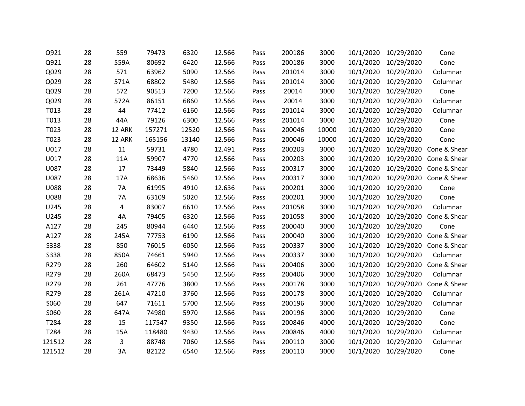| Q921        | 28 | 559    | 79473  | 6320  | 12.566 | Pass | 200186 | 3000  | 10/1/2020 | 10/29/2020           | Cone                              |
|-------------|----|--------|--------|-------|--------|------|--------|-------|-----------|----------------------|-----------------------------------|
| Q921        | 28 | 559A   | 80692  | 6420  | 12.566 | Pass | 200186 | 3000  | 10/1/2020 | 10/29/2020           | Cone                              |
| Q029        | 28 | 571    | 63962  | 5090  | 12.566 | Pass | 201014 | 3000  |           | 10/1/2020 10/29/2020 | Columnar                          |
| Q029        | 28 | 571A   | 68802  | 5480  | 12.566 | Pass | 201014 | 3000  | 10/1/2020 | 10/29/2020           | Columnar                          |
| Q029        | 28 | 572    | 90513  | 7200  | 12.566 | Pass | 20014  | 3000  | 10/1/2020 | 10/29/2020           | Cone                              |
| Q029        | 28 | 572A   | 86151  | 6860  | 12.566 | Pass | 20014  | 3000  |           | 10/1/2020 10/29/2020 | Columnar                          |
| T013        | 28 | 44     | 77412  | 6160  | 12.566 | Pass | 201014 | 3000  | 10/1/2020 | 10/29/2020           | Columnar                          |
| T013        | 28 | 44A    | 79126  | 6300  | 12.566 | Pass | 201014 | 3000  | 10/1/2020 | 10/29/2020           | Cone                              |
| T023        | 28 | 12 ARK | 157271 | 12520 | 12.566 | Pass | 200046 | 10000 |           | 10/1/2020 10/29/2020 | Cone                              |
| T023        | 28 | 12 ARK | 165156 | 13140 | 12.566 | Pass | 200046 | 10000 | 10/1/2020 | 10/29/2020           | Cone                              |
| U017        | 28 | 11     | 59731  | 4780  | 12.491 | Pass | 200203 | 3000  | 10/1/2020 |                      | 10/29/2020 Cone & Shear           |
| U017        | 28 | 11A    | 59907  | 4770  | 12.566 | Pass | 200203 | 3000  |           |                      | 10/1/2020 10/29/2020 Cone & Shear |
| U087        | 28 | 17     | 73449  | 5840  | 12.566 | Pass | 200317 | 3000  | 10/1/2020 |                      | 10/29/2020 Cone & Shear           |
| U087        | 28 | 17A    | 68636  | 5460  | 12.566 | Pass | 200317 | 3000  |           |                      | 10/1/2020 10/29/2020 Cone & Shear |
| <b>U088</b> | 28 | 7A     | 61995  | 4910  | 12.636 | Pass | 200201 | 3000  |           | 10/1/2020 10/29/2020 | Cone                              |
| <b>U088</b> | 28 | 7A     | 63109  | 5020  | 12.566 | Pass | 200201 | 3000  | 10/1/2020 | 10/29/2020           | Cone                              |
| U245        | 28 | 4      | 83007  | 6610  | 12.566 | Pass | 201058 | 3000  | 10/1/2020 | 10/29/2020           | Columnar                          |
| U245        | 28 | 4A     | 79405  | 6320  | 12.566 | Pass | 201058 | 3000  | 10/1/2020 |                      | 10/29/2020 Cone & Shear           |
| A127        | 28 | 245    | 80944  | 6440  | 12.566 | Pass | 200040 | 3000  | 10/1/2020 | 10/29/2020           | Cone                              |
| A127        | 28 | 245A   | 77753  | 6190  | 12.566 | Pass | 200040 | 3000  |           |                      | 10/1/2020 10/29/2020 Cone & Shear |
| <b>S338</b> | 28 | 850    | 76015  | 6050  | 12.566 | Pass | 200337 | 3000  | 10/1/2020 |                      | 10/29/2020 Cone & Shear           |
| <b>S338</b> | 28 | 850A   | 74661  | 5940  | 12.566 | Pass | 200337 | 3000  | 10/1/2020 | 10/29/2020           | Columnar                          |
| R279        | 28 | 260    | 64602  | 5140  | 12.566 | Pass | 200406 | 3000  | 10/1/2020 |                      | 10/29/2020 Cone & Shear           |
| R279        | 28 | 260A   | 68473  | 5450  | 12.566 | Pass | 200406 | 3000  | 10/1/2020 | 10/29/2020           | Columnar                          |
| R279        | 28 | 261    | 47776  | 3800  | 12.566 | Pass | 200178 | 3000  | 10/1/2020 |                      | 10/29/2020 Cone & Shear           |
| R279        | 28 | 261A   | 47210  | 3760  | 12.566 | Pass | 200178 | 3000  |           | 10/1/2020 10/29/2020 | Columnar                          |
| S060        | 28 | 647    | 71611  | 5700  | 12.566 | Pass | 200196 | 3000  | 10/1/2020 | 10/29/2020           | Columnar                          |
| S060        | 28 | 647A   | 74980  | 5970  | 12.566 | Pass | 200196 | 3000  | 10/1/2020 | 10/29/2020           | Cone                              |
| T284        | 28 | 15     | 117547 | 9350  | 12.566 | Pass | 200846 | 4000  |           | 10/1/2020 10/29/2020 | Cone                              |
| T284        | 28 | 15A    | 118480 | 9430  | 12.566 | Pass | 200846 | 4000  | 10/1/2020 | 10/29/2020           | Columnar                          |
| 121512      | 28 | 3      | 88748  | 7060  | 12.566 | Pass | 200110 | 3000  | 10/1/2020 | 10/29/2020           | Columnar                          |
| 121512      | 28 | 3A     | 82122  | 6540  | 12.566 | Pass | 200110 | 3000  |           | 10/1/2020 10/29/2020 | Cone                              |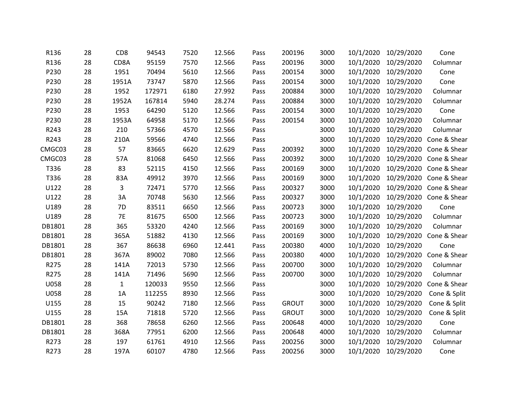| R136        | 28 | CD <sub>8</sub> | 94543  | 7520 | 12.566 | Pass | 200196       | 3000 | 10/1/2020 | 10/29/2020           | Cone                    |
|-------------|----|-----------------|--------|------|--------|------|--------------|------|-----------|----------------------|-------------------------|
| R136        | 28 | CD8A            | 95159  | 7570 | 12.566 | Pass | 200196       | 3000 | 10/1/2020 | 10/29/2020           | Columnar                |
| P230        | 28 | 1951            | 70494  | 5610 | 12.566 | Pass | 200154       | 3000 | 10/1/2020 | 10/29/2020           | Cone                    |
| P230        | 28 | 1951A           | 73747  | 5870 | 12.566 | Pass | 200154       | 3000 | 10/1/2020 | 10/29/2020           | Cone                    |
| P230        | 28 | 1952            | 172971 | 6180 | 27.992 | Pass | 200884       | 3000 | 10/1/2020 | 10/29/2020           | Columnar                |
| P230        | 28 | 1952A           | 167814 | 5940 | 28.274 | Pass | 200884       | 3000 | 10/1/2020 | 10/29/2020           | Columnar                |
| P230        | 28 | 1953            | 64290  | 5120 | 12.566 | Pass | 200154       | 3000 | 10/1/2020 | 10/29/2020           | Cone                    |
| P230        | 28 | 1953A           | 64958  | 5170 | 12.566 | Pass | 200154       | 3000 | 10/1/2020 | 10/29/2020           | Columnar                |
| R243        | 28 | 210             | 57366  | 4570 | 12.566 | Pass |              | 3000 | 10/1/2020 | 10/29/2020           | Columnar                |
| R243        | 28 | 210A            | 59566  | 4740 | 12.566 | Pass |              | 3000 | 10/1/2020 | 10/29/2020           | Cone & Shear            |
| CMGC03      | 28 | 57              | 83665  | 6620 | 12.629 | Pass | 200392       | 3000 | 10/1/2020 |                      | 10/29/2020 Cone & Shear |
| CMGC03      | 28 | 57A             | 81068  | 6450 | 12.566 | Pass | 200392       | 3000 | 10/1/2020 |                      | 10/29/2020 Cone & Shear |
| T336        | 28 | 83              | 52115  | 4150 | 12.566 | Pass | 200169       | 3000 | 10/1/2020 |                      | 10/29/2020 Cone & Shear |
| T336        | 28 | 83A             | 49912  | 3970 | 12.566 | Pass | 200169       | 3000 | 10/1/2020 |                      | 10/29/2020 Cone & Shear |
| U122        | 28 | 3               | 72471  | 5770 | 12.566 | Pass | 200327       | 3000 | 10/1/2020 |                      | 10/29/2020 Cone & Shear |
| U122        | 28 | 3A              | 70748  | 5630 | 12.566 | Pass | 200327       | 3000 | 10/1/2020 | 10/29/2020           | Cone & Shear            |
| U189        | 28 | 7D              | 83511  | 6650 | 12.566 | Pass | 200723       | 3000 | 10/1/2020 | 10/29/2020           | Cone                    |
| U189        | 28 | <b>7E</b>       | 81675  | 6500 | 12.566 | Pass | 200723       | 3000 | 10/1/2020 | 10/29/2020           | Columnar                |
| DB1801      | 28 | 365             | 53320  | 4240 | 12.566 | Pass | 200169       | 3000 | 10/1/2020 | 10/29/2020           | Columnar                |
| DB1801      | 28 | 365A            | 51882  | 4130 | 12.566 | Pass | 200169       | 3000 | 10/1/2020 | 10/29/2020           | Cone & Shear            |
| DB1801      | 28 | 367             | 86638  | 6960 | 12.441 | Pass | 200380       | 4000 | 10/1/2020 | 10/29/2020           | Cone                    |
| DB1801      | 28 | 367A            | 89002  | 7080 | 12.566 | Pass | 200380       | 4000 | 10/1/2020 | 10/29/2020           | Cone & Shear            |
| R275        | 28 | 141A            | 72013  | 5730 | 12.566 | Pass | 200700       | 3000 | 10/1/2020 | 10/29/2020           | Columnar                |
| R275        | 28 | 141A            | 71496  | 5690 | 12.566 | Pass | 200700       | 3000 | 10/1/2020 | 10/29/2020           | Columnar                |
| <b>U058</b> | 28 | $\mathbf{1}$    | 120033 | 9550 | 12.566 | Pass |              | 3000 | 10/1/2020 | 10/29/2020           | Cone & Shear            |
| U058        | 28 | 1A              | 112255 | 8930 | 12.566 | Pass |              | 3000 | 10/1/2020 | 10/29/2020           | Cone & Split            |
| U155        | 28 | 15              | 90242  | 7180 | 12.566 | Pass | <b>GROUT</b> | 3000 | 10/1/2020 | 10/29/2020           | Cone & Split            |
| U155        | 28 | 15A             | 71818  | 5720 | 12.566 | Pass | <b>GROUT</b> | 3000 | 10/1/2020 | 10/29/2020           | Cone & Split            |
| DB1801      | 28 | 368             | 78658  | 6260 | 12.566 | Pass | 200648       | 4000 | 10/1/2020 | 10/29/2020           | Cone                    |
| DB1801      | 28 | 368A            | 77951  | 6200 | 12.566 | Pass | 200648       | 4000 | 10/1/2020 | 10/29/2020           | Columnar                |
| R273        | 28 | 197             | 61761  | 4910 | 12.566 | Pass | 200256       | 3000 | 10/1/2020 | 10/29/2020           | Columnar                |
| R273        | 28 | 197A            | 60107  | 4780 | 12.566 | Pass | 200256       | 3000 |           | 10/1/2020 10/29/2020 | Cone                    |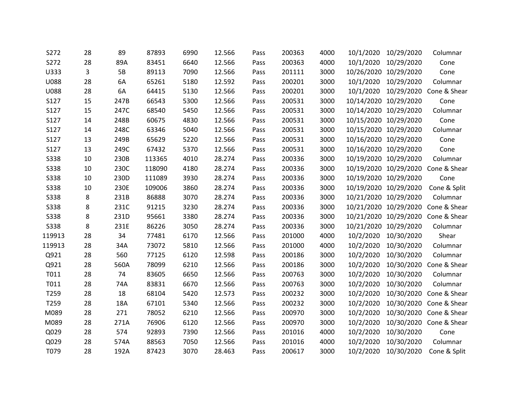| S272        | 28 | 89   | 87893  | 6990 | 12.566 | Pass | 200363 | 4000 | 10/1/2020             | 10/29/2020            | Columnar                           |
|-------------|----|------|--------|------|--------|------|--------|------|-----------------------|-----------------------|------------------------------------|
| S272        | 28 | 89A  | 83451  | 6640 | 12.566 | Pass | 200363 | 4000 | 10/1/2020             | 10/29/2020            | Cone                               |
| U333        | 3  | 5B   | 89113  | 7090 | 12.566 | Pass | 201111 | 3000 |                       | 10/26/2020 10/29/2020 | Cone                               |
| <b>U088</b> | 28 | 6A   | 65261  | 5180 | 12.592 | Pass | 200201 | 3000 | 10/1/2020             | 10/29/2020            | Columnar                           |
| U088        | 28 | 6A   | 64415  | 5130 | 12.566 | Pass | 200201 | 3000 | 10/1/2020             | 10/29/2020            | Cone & Shear                       |
| S127        | 15 | 247B | 66543  | 5300 | 12.566 | Pass | 200531 | 3000 | 10/14/2020 10/29/2020 |                       | Cone                               |
| S127        | 15 | 247C | 68540  | 5450 | 12.566 | Pass | 200531 | 3000 |                       | 10/14/2020 10/29/2020 | Columnar                           |
| S127        | 14 | 248B | 60675  | 4830 | 12.566 | Pass | 200531 | 3000 | 10/15/2020 10/29/2020 |                       | Cone                               |
| S127        | 14 | 248C | 63346  | 5040 | 12.566 | Pass | 200531 | 3000 | 10/15/2020 10/29/2020 |                       | Columnar                           |
| S127        | 13 | 249B | 65629  | 5220 | 12.566 | Pass | 200531 | 3000 | 10/16/2020 10/29/2020 |                       | Cone                               |
| S127        | 13 | 249C | 67432  | 5370 | 12.566 | Pass | 200531 | 3000 | 10/16/2020 10/29/2020 |                       | Cone                               |
| <b>S338</b> | 10 | 230B | 113365 | 4010 | 28.274 | Pass | 200336 | 3000 | 10/19/2020 10/29/2020 |                       | Columnar                           |
| <b>S338</b> | 10 | 230C | 118090 | 4180 | 28.274 | Pass | 200336 | 3000 |                       | 10/19/2020 10/29/2020 | Cone & Shear                       |
| <b>S338</b> | 10 | 230D | 111089 | 3930 | 28.274 | Pass | 200336 | 3000 | 10/19/2020 10/29/2020 |                       | Cone                               |
| <b>S338</b> | 10 | 230E | 109006 | 3860 | 28.274 | Pass | 200336 | 3000 |                       | 10/19/2020 10/29/2020 | Cone & Split                       |
| <b>S338</b> | 8  | 231B | 86888  | 3070 | 28.274 | Pass | 200336 | 3000 | 10/21/2020 10/29/2020 |                       | Columnar                           |
| <b>S338</b> | 8  | 231C | 91215  | 3230 | 28.274 | Pass | 200336 | 3000 |                       | 10/21/2020 10/29/2020 | Cone & Shear                       |
| <b>S338</b> | 8  | 231D | 95661  | 3380 | 28.274 | Pass | 200336 | 3000 |                       |                       | 10/21/2020 10/29/2020 Cone & Shear |
| <b>S338</b> | 8  | 231E | 86226  | 3050 | 28.274 | Pass | 200336 | 3000 |                       | 10/21/2020 10/29/2020 | Columnar                           |
| 119913      | 28 | 34   | 77481  | 6170 | 12.566 | Pass | 201000 | 4000 |                       | 10/2/2020 10/30/2020  | Shear                              |
| 119913      | 28 | 34A  | 73072  | 5810 | 12.566 | Pass | 201000 | 4000 | 10/2/2020             | 10/30/2020            | Columnar                           |
| Q921        | 28 | 560  | 77125  | 6120 | 12.598 | Pass | 200186 | 3000 | 10/2/2020             | 10/30/2020            | Columnar                           |
| Q921        | 28 | 560A | 78099  | 6210 | 12.566 | Pass | 200186 | 3000 | 10/2/2020             | 10/30/2020            | Cone & Shear                       |
| T011        | 28 | 74   | 83605  | 6650 | 12.566 | Pass | 200763 | 3000 | 10/2/2020             | 10/30/2020            | Columnar                           |
| T011        | 28 | 74A  | 83831  | 6670 | 12.566 | Pass | 200763 | 3000 | 10/2/2020             | 10/30/2020            | Columnar                           |
| T259        | 28 | 18   | 68104  | 5420 | 12.573 | Pass | 200232 | 3000 |                       |                       | 10/2/2020 10/30/2020 Cone & Shear  |
| T259        | 28 | 18A  | 67101  | 5340 | 12.566 | Pass | 200232 | 3000 | 10/2/2020             |                       | 10/30/2020 Cone & Shear            |
| M089        | 28 | 271  | 78052  | 6210 | 12.566 | Pass | 200970 | 3000 | 10/2/2020             |                       | 10/30/2020 Cone & Shear            |
| M089        | 28 | 271A | 76906  | 6120 | 12.566 | Pass | 200970 | 3000 | 10/2/2020             |                       | 10/30/2020 Cone & Shear            |
| Q029        | 28 | 574  | 92893  | 7390 | 12.566 | Pass | 201016 | 4000 | 10/2/2020             | 10/30/2020            | Cone                               |
| Q029        | 28 | 574A | 88563  | 7050 | 12.566 | Pass | 201016 | 4000 | 10/2/2020             | 10/30/2020            | Columnar                           |
| T079        | 28 | 192A | 87423  | 3070 | 28.463 | Pass | 200617 | 3000 |                       | 10/2/2020 10/30/2020  | Cone & Split                       |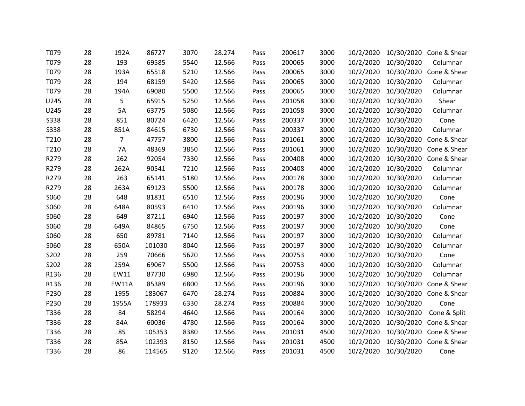| T079        | 28 | 192A         | 86727  | 3070 | 28.274 | Pass | 200617 | 3000 | 10/2/2020 |            | 10/30/2020 Cone & Shear |
|-------------|----|--------------|--------|------|--------|------|--------|------|-----------|------------|-------------------------|
| T079        | 28 | 193          | 69585  | 5540 | 12.566 | Pass | 200065 | 3000 | 10/2/2020 | 10/30/2020 | Columnar                |
| T079        | 28 | 193A         | 65518  | 5210 | 12.566 | Pass | 200065 | 3000 | 10/2/2020 |            | 10/30/2020 Cone & Shear |
| T079        | 28 | 194          | 68159  | 5420 | 12.566 | Pass | 200065 | 3000 | 10/2/2020 | 10/30/2020 | Columnar                |
| T079        | 28 | 194A         | 69080  | 5500 | 12.566 | Pass | 200065 | 3000 | 10/2/2020 | 10/30/2020 | Columnar                |
| U245        | 28 | 5            | 65915  | 5250 | 12.566 | Pass | 201058 | 3000 | 10/2/2020 | 10/30/2020 | Shear                   |
| U245        | 28 | 5A           | 63775  | 5080 | 12.566 | Pass | 201058 | 3000 | 10/2/2020 | 10/30/2020 | Columnar                |
| <b>S338</b> | 28 | 851          | 80724  | 6420 | 12.566 | Pass | 200337 | 3000 | 10/2/2020 | 10/30/2020 | Cone                    |
| <b>S338</b> | 28 | 851A         | 84615  | 6730 | 12.566 | Pass | 200337 | 3000 | 10/2/2020 | 10/30/2020 | Columnar                |
| T210        | 28 | 7            | 47757  | 3800 | 12.566 | Pass | 201061 | 3000 | 10/2/2020 | 10/30/2020 | Cone & Shear            |
| T210        | 28 | <b>7A</b>    | 48369  | 3850 | 12.566 | Pass | 201061 | 3000 | 10/2/2020 | 10/30/2020 | Cone & Shear            |
| R279        | 28 | 262          | 92054  | 7330 | 12.566 | Pass | 200408 | 4000 | 10/2/2020 |            | 10/30/2020 Cone & Shear |
| R279        | 28 | 262A         | 90541  | 7210 | 12.566 | Pass | 200408 | 4000 | 10/2/2020 | 10/30/2020 | Columnar                |
| R279        | 28 | 263          | 65141  | 5180 | 12.566 | Pass | 200178 | 3000 | 10/2/2020 | 10/30/2020 | Columnar                |
| R279        | 28 | 263A         | 69123  | 5500 | 12.566 | Pass | 200178 | 3000 | 10/2/2020 | 10/30/2020 | Columnar                |
| S060        | 28 | 648          | 81831  | 6510 | 12.566 | Pass | 200196 | 3000 | 10/2/2020 | 10/30/2020 | Cone                    |
| S060        | 28 | 648A         | 80593  | 6410 | 12.566 | Pass | 200196 | 3000 | 10/2/2020 | 10/30/2020 | Columnar                |
| S060        | 28 | 649          | 87211  | 6940 | 12.566 | Pass | 200197 | 3000 | 10/2/2020 | 10/30/2020 | Cone                    |
| S060        | 28 | 649A         | 84865  | 6750 | 12.566 | Pass | 200197 | 3000 | 10/2/2020 | 10/30/2020 | Cone                    |
| S060        | 28 | 650          | 89781  | 7140 | 12.566 | Pass | 200197 | 3000 | 10/2/2020 | 10/30/2020 | Columnar                |
| S060        | 28 | 650A         | 101030 | 8040 | 12.566 | Pass | 200197 | 3000 | 10/2/2020 | 10/30/2020 | Columnar                |
| S202        | 28 | 259          | 70666  | 5620 | 12.566 | Pass | 200753 | 4000 | 10/2/2020 | 10/30/2020 | Cone                    |
| S202        | 28 | 259A         | 69067  | 5500 | 12.566 | Pass | 200753 | 4000 | 10/2/2020 | 10/30/2020 | Columnar                |
| R136        | 28 | EW11         | 87730  | 6980 | 12.566 | Pass | 200196 | 3000 | 10/2/2020 | 10/30/2020 | Columnar                |
| R136        | 28 | <b>EW11A</b> | 85389  | 6800 | 12.566 | Pass | 200196 | 3000 | 10/2/2020 |            | 10/30/2020 Cone & Shear |
| P230        | 28 | 1955         | 183067 | 6470 | 28.274 | Pass | 200884 | 3000 | 10/2/2020 |            | 10/30/2020 Cone & Shear |
| P230        | 28 | 1955A        | 178933 | 6330 | 28.274 | Pass | 200884 | 3000 | 10/2/2020 | 10/30/2020 | Cone                    |
| T336        | 28 | 84           | 58294  | 4640 | 12.566 | Pass | 200164 | 3000 | 10/2/2020 | 10/30/2020 | Cone & Split            |
| T336        | 28 | 84A          | 60036  | 4780 | 12.566 | Pass | 200164 | 3000 | 10/2/2020 | 10/30/2020 | Cone & Shear            |
| T336        | 28 | 85           | 105353 | 8380 | 12.566 | Pass | 201031 | 4500 | 10/2/2020 | 10/30/2020 | Cone & Shear            |
| T336        | 28 | 85A          | 102393 | 8150 | 12.566 | Pass | 201031 | 4500 | 10/2/2020 |            | 10/30/2020 Cone & Shear |
| T336        | 28 | 86           | 114565 | 9120 | 12.566 | Pass | 201031 | 4500 | 10/2/2020 | 10/30/2020 | Cone                    |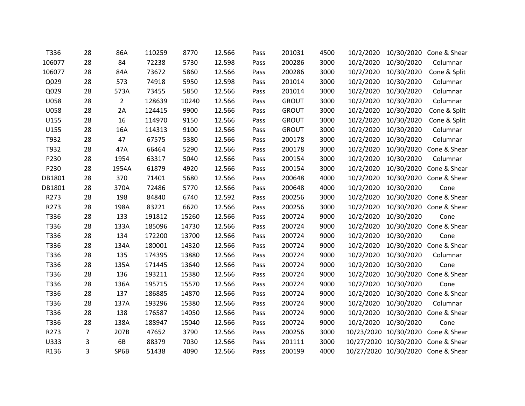| T336        | 28 | 86A            | 110259 | 8770  | 12.566 | Pass | 201031       | 4500 | 10/2/2020 |            | 10/30/2020 Cone & Shear            |
|-------------|----|----------------|--------|-------|--------|------|--------------|------|-----------|------------|------------------------------------|
| 106077      | 28 | 84             | 72238  | 5730  | 12.598 | Pass | 200286       | 3000 | 10/2/2020 | 10/30/2020 | Columnar                           |
| 106077      | 28 | 84A            | 73672  | 5860  | 12.566 | Pass | 200286       | 3000 | 10/2/2020 | 10/30/2020 | Cone & Split                       |
| Q029        | 28 | 573            | 74918  | 5950  | 12.598 | Pass | 201014       | 3000 | 10/2/2020 | 10/30/2020 | Columnar                           |
| Q029        | 28 | 573A           | 73455  | 5850  | 12.566 | Pass | 201014       | 3000 | 10/2/2020 | 10/30/2020 | Columnar                           |
| <b>U058</b> | 28 | $\overline{2}$ | 128639 | 10240 | 12.566 | Pass | <b>GROUT</b> | 3000 | 10/2/2020 | 10/30/2020 | Columnar                           |
| U058        | 28 | 2A             | 124415 | 9900  | 12.566 | Pass | <b>GROUT</b> | 3000 | 10/2/2020 | 10/30/2020 | Cone & Split                       |
| U155        | 28 | 16             | 114970 | 9150  | 12.566 | Pass | <b>GROUT</b> | 3000 | 10/2/2020 | 10/30/2020 | Cone & Split                       |
| U155        | 28 | 16A            | 114313 | 9100  | 12.566 | Pass | <b>GROUT</b> | 3000 | 10/2/2020 | 10/30/2020 | Columnar                           |
| T932        | 28 | 47             | 67575  | 5380  | 12.566 | Pass | 200178       | 3000 | 10/2/2020 | 10/30/2020 | Columnar                           |
| T932        | 28 | 47A            | 66464  | 5290  | 12.566 | Pass | 200178       | 3000 | 10/2/2020 | 10/30/2020 | Cone & Shear                       |
| P230        | 28 | 1954           | 63317  | 5040  | 12.566 | Pass | 200154       | 3000 | 10/2/2020 | 10/30/2020 | Columnar                           |
| P230        | 28 | 1954A          | 61879  | 4920  | 12.566 | Pass | 200154       | 3000 | 10/2/2020 |            | 10/30/2020 Cone & Shear            |
| DB1801      | 28 | 370            | 71401  | 5680  | 12.566 | Pass | 200648       | 4000 | 10/2/2020 |            | 10/30/2020 Cone & Shear            |
| DB1801      | 28 | 370A           | 72486  | 5770  | 12.566 | Pass | 200648       | 4000 | 10/2/2020 | 10/30/2020 | Cone                               |
| R273        | 28 | 198            | 84840  | 6740  | 12.592 | Pass | 200256       | 3000 | 10/2/2020 |            | 10/30/2020 Cone & Shear            |
| R273        | 28 | 198A           | 83221  | 6620  | 12.566 | Pass | 200256       | 3000 | 10/2/2020 |            | 10/30/2020 Cone & Shear            |
| T336        | 28 | 133            | 191812 | 15260 | 12.566 | Pass | 200724       | 9000 | 10/2/2020 | 10/30/2020 | Cone                               |
| T336        | 28 | 133A           | 185096 | 14730 | 12.566 | Pass | 200724       | 9000 | 10/2/2020 |            | 10/30/2020 Cone & Shear            |
| T336        | 28 | 134            | 172200 | 13700 | 12.566 | Pass | 200724       | 9000 | 10/2/2020 | 10/30/2020 | Cone                               |
| T336        | 28 | 134A           | 180001 | 14320 | 12.566 | Pass | 200724       | 9000 | 10/2/2020 |            | 10/30/2020 Cone & Shear            |
| T336        | 28 | 135            | 174395 | 13880 | 12.566 | Pass | 200724       | 9000 | 10/2/2020 | 10/30/2020 | Columnar                           |
| T336        | 28 | 135A           | 171445 | 13640 | 12.566 | Pass | 200724       | 9000 | 10/2/2020 | 10/30/2020 | Cone                               |
| T336        | 28 | 136            | 193211 | 15380 | 12.566 | Pass | 200724       | 9000 | 10/2/2020 |            | 10/30/2020 Cone & Shear            |
| T336        | 28 | 136A           | 195715 | 15570 | 12.566 | Pass | 200724       | 9000 | 10/2/2020 | 10/30/2020 | Cone                               |
| T336        | 28 | 137            | 186885 | 14870 | 12.566 | Pass | 200724       | 9000 | 10/2/2020 |            | 10/30/2020 Cone & Shear            |
| T336        | 28 | 137A           | 193296 | 15380 | 12.566 | Pass | 200724       | 9000 | 10/2/2020 | 10/30/2020 | Columnar                           |
| T336        | 28 | 138            | 176587 | 14050 | 12.566 | Pass | 200724       | 9000 | 10/2/2020 |            | 10/30/2020 Cone & Shear            |
| T336        | 28 | 138A           | 188947 | 15040 | 12.566 | Pass | 200724       | 9000 | 10/2/2020 | 10/30/2020 | Cone                               |
| R273        | 7  | 207B           | 47652  | 3790  | 12.566 | Pass | 200256       | 3000 |           |            | 10/23/2020 10/30/2020 Cone & Shear |
| U333        | 3  | 6B             | 88379  | 7030  | 12.566 | Pass | 201111       | 3000 |           |            | 10/27/2020 10/30/2020 Cone & Shear |
| R136        | 3  | SP6B           | 51438  | 4090  | 12.566 | Pass | 200199       | 4000 |           |            | 10/27/2020 10/30/2020 Cone & Shear |